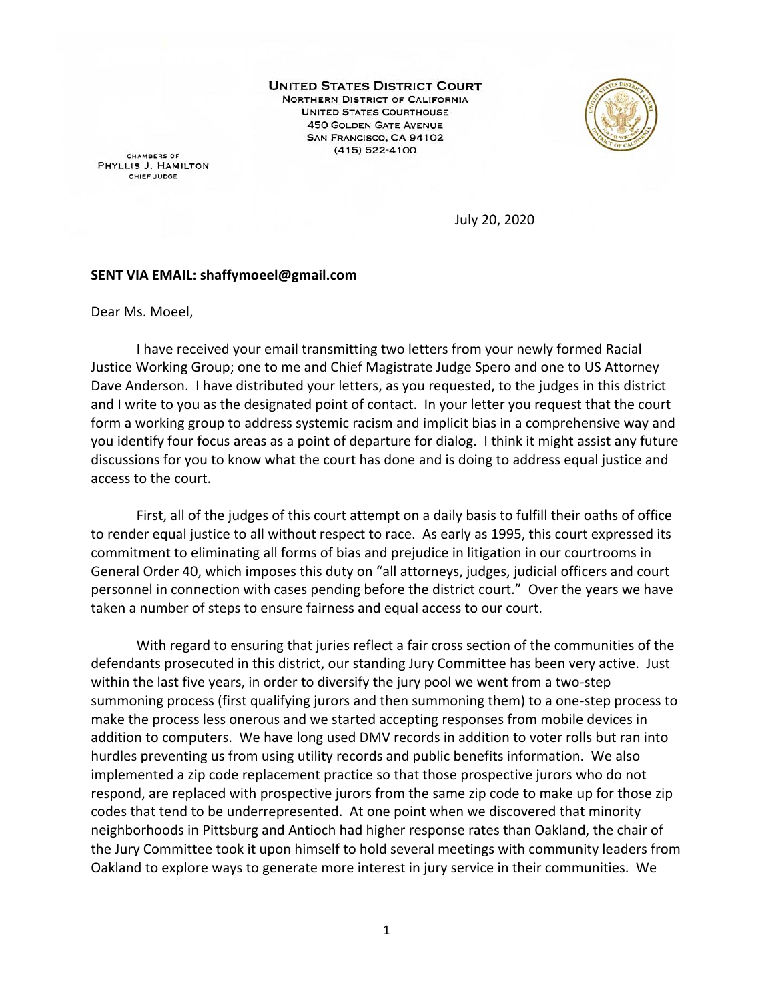**UNITED STATES DISTRICT COURT** NORTHERN DISTRICT OF CALIFORNIA **UNITED STATES COURTHOUSE 450 GOLDEN GATE AVENUE** SAN FRANCISCO, CA 94102  $(415) 522 - 4100$ 



**CHAMBERS OF** PHYLLIS J. HAMILTON CHIEF JUDGE

July 20, 2020

## **SENT VIA EMAIL: shaffymoeel@gmail.com**

Dear Ms. Moeel,

I have received your email transmitting two letters from your newly formed Racial Justice Working Group; one to me and Chief Magistrate Judge Spero and one to US Attorney Dave Anderson. I have distributed your letters, as you requested, to the judges in this district and I write to you as the designated point of contact. In your letter you request that the court form a working group to address systemic racism and implicit bias in a comprehensive way and you identify four focus areas as a point of departure for dialog. I think it might assist any future discussions for you to know what the court has done and is doing to address equal justice and access to the court.

First, all of the judges of this court attempt on a daily basis to fulfill their oaths of office to render equal justice to all without respect to race. As early as 1995, this court expressed its commitment to eliminating all forms of bias and prejudice in litigation in our courtrooms in General Order 40, which imposes this duty on "all attorneys, judges, judicial officers and court personnel in connection with cases pending before the district court." Over the years we have taken a number of steps to ensure fairness and equal access to our court.

With regard to ensuring that juries reflect a fair cross section of the communities of the defendants prosecuted in this district, our standing Jury Committee has been very active. Just within the last five years, in order to diversify the jury pool we went from a two-step summoning process (first qualifying jurors and then summoning them) to a one-step process to make the process less onerous and we started accepting responses from mobile devices in addition to computers. We have long used DMV records in addition to voter rolls but ran into hurdles preventing us from using utility records and public benefits information. We also implemented a zip code replacement practice so that those prospective jurors who do not respond, are replaced with prospective jurors from the same zip code to make up for those zip codes that tend to be underrepresented. At one point when we discovered that minority neighborhoods in Pittsburg and Antioch had higher response rates than Oakland, the chair of the Jury Committee took it upon himself to hold several meetings with community leaders from Oakland to explore ways to generate more interest in jury service in their communities. We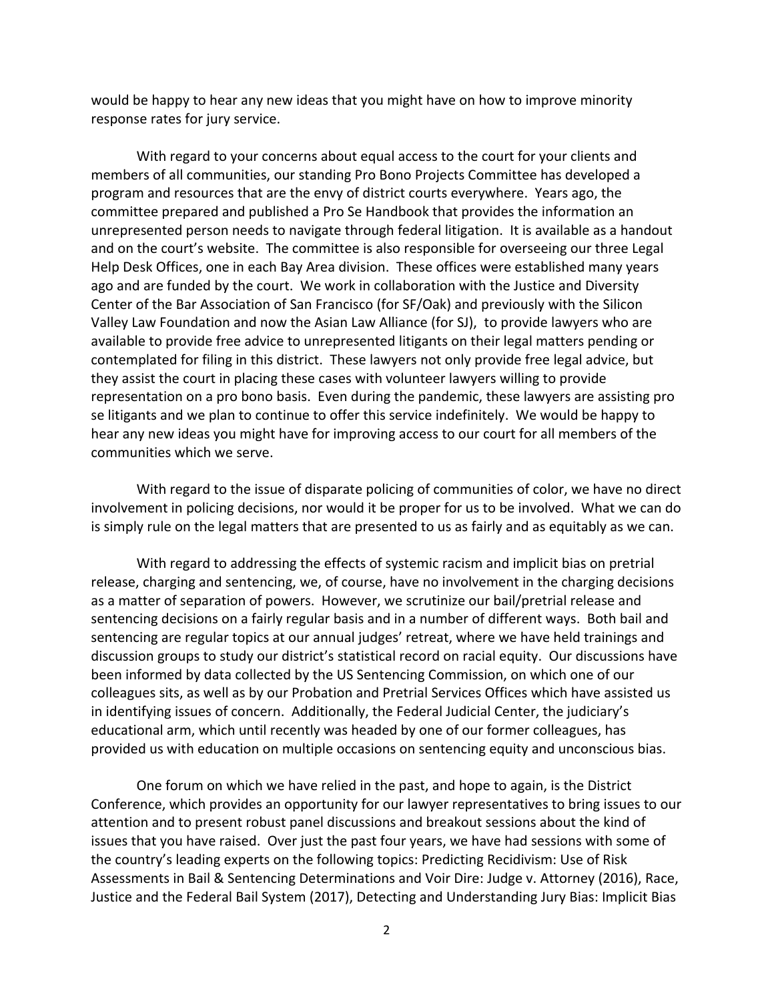would be happy to hear any new ideas that you might have on how to improve minority response rates for jury service.

With regard to your concerns about equal access to the court for your clients and members of all communities, our standing Pro Bono Projects Committee has developed a program and resources that are the envy of district courts everywhere. Years ago, the committee prepared and published a Pro Se Handbook that provides the information an unrepresented person needs to navigate through federal litigation. It is available as a handout and on the court's website. The committee is also responsible for overseeing our three Legal Help Desk Offices, one in each Bay Area division. These offices were established many years ago and are funded by the court. We work in collaboration with the Justice and Diversity Center of the Bar Association of San Francisco (for SF/Oak) and previously with the Silicon Valley Law Foundation and now the Asian Law Alliance (for SJ), to provide lawyers who are available to provide free advice to unrepresented litigants on their legal matters pending or contemplated for filing in this district. These lawyers not only provide free legal advice, but they assist the court in placing these cases with volunteer lawyers willing to provide representation on a pro bono basis. Even during the pandemic, these lawyers are assisting pro se litigants and we plan to continue to offer this service indefinitely. We would be happy to hear any new ideas you might have for improving access to our court for all members of the communities which we serve.

With regard to the issue of disparate policing of communities of color, we have no direct involvement in policing decisions, nor would it be proper for us to be involved. What we can do is simply rule on the legal matters that are presented to us as fairly and as equitably as we can.

With regard to addressing the effects of systemic racism and implicit bias on pretrial release, charging and sentencing, we, of course, have no involvement in the charging decisions as a matter of separation of powers. However, we scrutinize our bail/pretrial release and sentencing decisions on a fairly regular basis and in a number of different ways. Both bail and sentencing are regular topics at our annual judges' retreat, where we have held trainings and discussion groups to study our district's statistical record on racial equity. Our discussions have been informed by data collected by the US Sentencing Commission, on which one of our colleagues sits, as well as by our Probation and Pretrial Services Offices which have assisted us in identifying issues of concern. Additionally, the Federal Judicial Center, the judiciary's educational arm, which until recently was headed by one of our former colleagues, has provided us with education on multiple occasions on sentencing equity and unconscious bias.

One forum on which we have relied in the past, and hope to again, is the District Conference, which provides an opportunity for our lawyer representatives to bring issues to our attention and to present robust panel discussions and breakout sessions about the kind of issues that you have raised. Over just the past four years, we have had sessions with some of the country's leading experts on the following topics: Predicting Recidivism: Use of Risk Assessments in Bail & Sentencing Determinations and Voir Dire: Judge v. Attorney (2016), Race, Justice and the Federal Bail System (2017), Detecting and Understanding Jury Bias: Implicit Bias